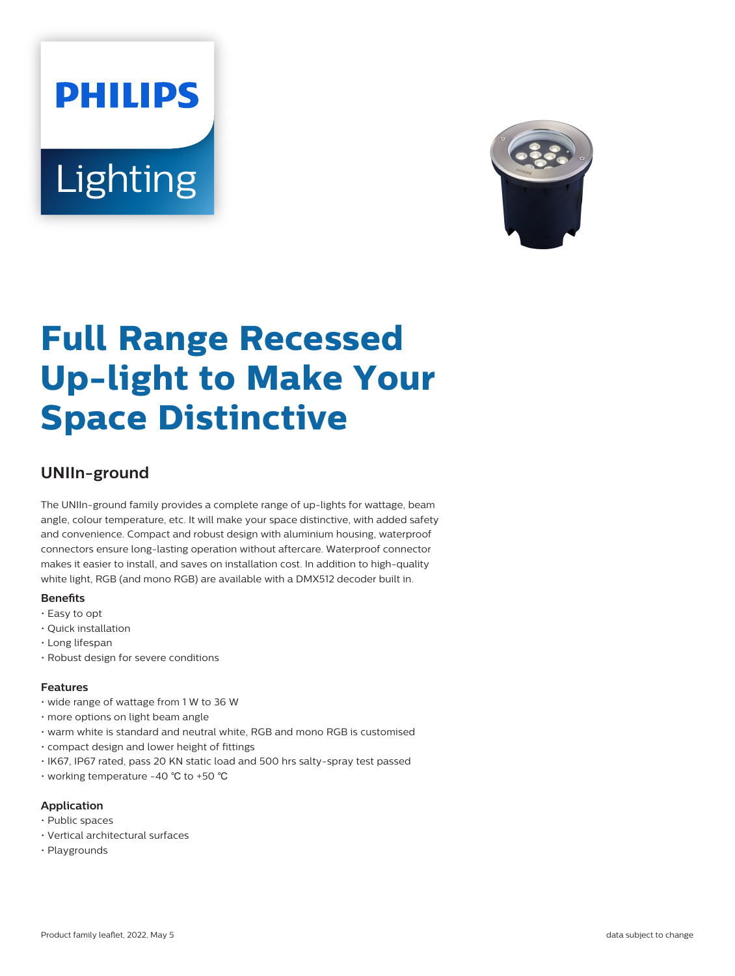# **PHILIPS** Lighting



# **Full Range Recessed Up-light to Make Your Space Distinctive**

# **UNIIn-ground**

The UNIIn-ground family provides a complete range of up-lights for wattage, beam angle, colour temperature, etc. It will make your space distinctive, with added safety and convenience. Compact and robust design with aluminium housing, waterproof connectors ensure long-lasting operation without aftercare. Waterproof connector makes it easier to install, and saves on installation cost. In addition to high-quality white light, RGB (and mono RGB) are available with a DMX512 decoder built in.

#### **Benefits**

- Easy to opt
- Quick installation
- Long lifespan
- Robust design for severe conditions

#### **Features**

- wide range of wattage from 1 W to 36 W
- more options on light beam angle
- warm white is standard and neutral white, RGB and mono RGB is customised
- compact design and lower height of fittings
- IK67, IP67 rated, pass 20 KN static load and 500 hrs salty-spray test passed
- working temperature -40 ℃ to +50 ℃

#### **Application**

- Public spaces
- Vertical architectural surfaces
- Playgrounds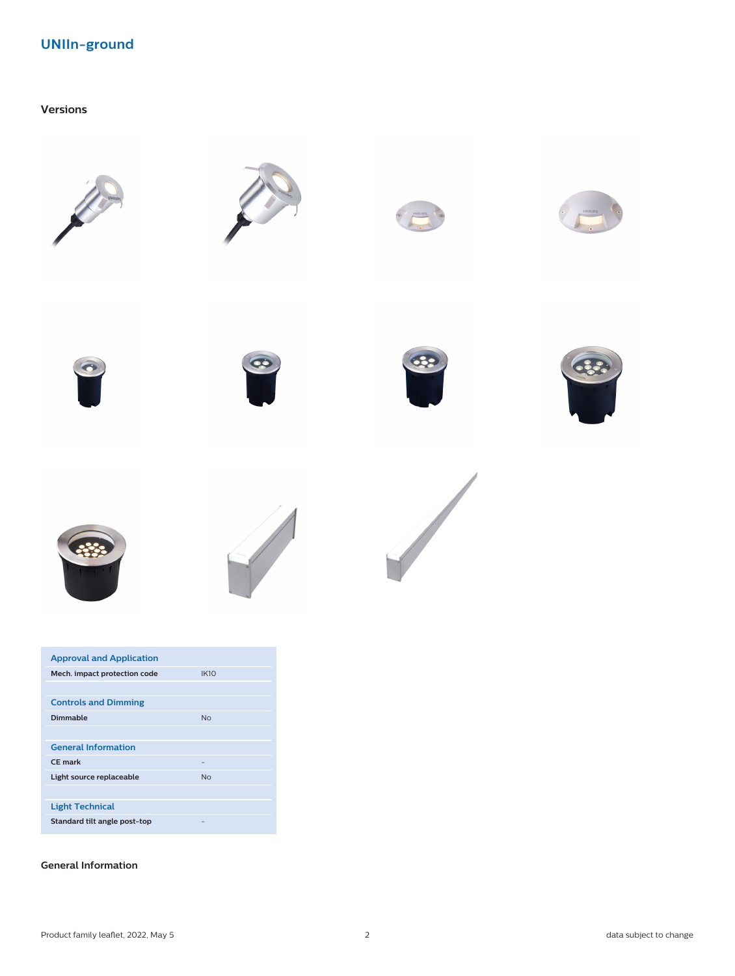## **UNIIn-ground**

#### **Versions**



| <b>Approval and Application</b> |             |
|---------------------------------|-------------|
| Mech. impact protection code    | <b>IK10</b> |
|                                 |             |
| <b>Controls and Dimming</b>     |             |
| <b>Dimmable</b>                 | No          |
|                                 |             |
| <b>General Information</b>      |             |
| CF mark                         |             |
| Light source replaceable        | No          |
|                                 |             |
| <b>Light Technical</b>          |             |
| Standard tilt angle post-top    |             |

#### **General Information**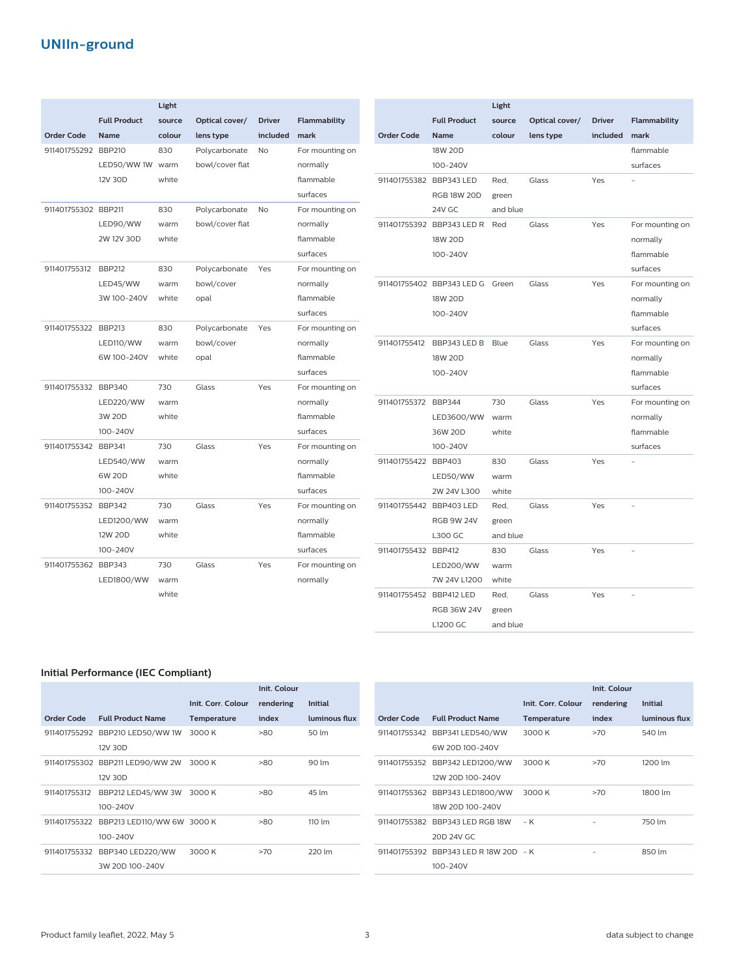## **UNIIn-ground**

|                     |                     | Light  |                            |               |                       |                         |                                 | Light    |                |               |                 |
|---------------------|---------------------|--------|----------------------------|---------------|-----------------------|-------------------------|---------------------------------|----------|----------------|---------------|-----------------|
|                     | <b>Full Product</b> | source | Optical cover/             | <b>Driver</b> | Flammability          |                         | <b>Full Product</b>             | source   | Optical cover/ | <b>Driver</b> | Flammability    |
| <b>Order Code</b>   | <b>Name</b>         | colour |                            | included      | mark                  | <b>Order Code</b>       | <b>Name</b>                     | colour   |                | included      | mark            |
| 911401755292 BBP210 |                     | 830    | lens type<br>Polycarbonate | <b>No</b>     | For mounting on       |                         | 18W 20D                         |          | lens type      |               | flammable       |
|                     | LED50/WW1W          | warm   | bowl/cover flat            |               |                       |                         | 100-240V                        |          |                |               | surfaces        |
|                     | 12V 30D             | white  |                            |               | normally<br>flammable | 911401755382 BBP343 LED |                                 | Red.     | Glass          | Yes           |                 |
|                     |                     |        |                            |               | surfaces              |                         | <b>RGB 18W 20D</b>              |          |                |               |                 |
|                     |                     |        |                            |               |                       |                         |                                 | green    |                |               |                 |
| 911401755302 BBP211 |                     | 830    | Polycarbonate              | <b>No</b>     | For mounting on       |                         | 24V GC                          | and blue |                |               |                 |
|                     | LED90/WW            | warm   | bowl/cover flat            |               | normally              |                         | 911401755392 BBP343 LED R       | Red      | Glass          | Yes           | For mounting on |
|                     | 2W 12V 30D          | white  |                            |               | flammable             |                         | 18W 20D                         |          |                |               | normally        |
|                     |                     |        |                            |               | surfaces              |                         | 100-240V                        |          |                |               | flammable       |
| 911401755312        | <b>BBP212</b>       | 830    | Polycarbonate              | Yes           | For mounting on       |                         |                                 |          |                |               | surfaces        |
|                     | LED45/WW            | warm   | bowl/cover                 |               | normally              |                         | 911401755402 BBP343 LED G Green |          | Glass          | Yes           | For mounting on |
|                     | 3W 100-240V         | white  | opal                       |               | flammable             |                         | 18W 20D                         |          |                |               | normally        |
|                     |                     |        |                            |               | surfaces              |                         | 100-240V                        |          |                |               | flammable       |
| 911401755322 BBP213 |                     | 830    | Polycarbonate              | Yes           | For mounting on       |                         |                                 |          |                |               | surfaces        |
|                     | LED110/WW           | warm   | bowl/cover                 |               | normally              | 911401755412            | BBP343 LED B Blue               |          | Glass          | Yes           | For mounting on |
|                     | 6W 100-240V         | white  | opal                       |               | flammable             |                         | 18W 20D                         |          |                |               | normally        |
|                     |                     |        |                            |               | surfaces              |                         | 100-240V                        |          |                |               | flammable       |
| 911401755332 BBP340 |                     | 730    | Glass                      | Yes           | For mounting on       |                         |                                 |          |                |               | surfaces        |
|                     | LED220/WW           | warm   |                            |               | normally              | 911401755372 BBP344     |                                 | 730      | Glass          | Yes           | For mounting on |
|                     | 3W 20D              | white  |                            |               | flammable             |                         | LED3600/WW                      | warm     |                |               | normally        |
|                     | 100-240V            |        |                            |               | surfaces              |                         | 36W 20D                         | white    |                |               | flammable       |
| 911401755342 BBP341 |                     | 730    | Glass                      | Yes           | For mounting on       |                         | 100-240V                        |          |                |               | surfaces        |
|                     | <b>LED540/WW</b>    | warm   |                            |               | normally              | 911401755422 BBP403     |                                 | 830      | Glass          | Yes           |                 |
|                     | 6W 20D              | white  |                            |               | flammable             |                         | LED50/WW                        | warm     |                |               |                 |
|                     | 100-240V            |        |                            |               | surfaces              |                         | 2W 24V L300                     | white    |                |               |                 |
| 911401755352 BBP342 |                     | 730    | Glass                      | Yes           | For mounting on       | 911401755442 BBP403 LED |                                 | Red.     | Glass          | Yes           |                 |
|                     | LED1200/WW          | warm   |                            |               | normally              |                         | <b>RGB 9W 24V</b>               | green    |                |               |                 |
|                     | 12W 20D             | white  |                            |               | flammable             |                         | <b>L300 GC</b>                  | and blue |                |               |                 |
|                     | 100-240V            |        |                            |               | surfaces              | 911401755432 BBP412     |                                 | 830      | Glass          | Yes           |                 |
| 911401755362 BBP343 |                     | 730    | Glass                      | Yes           | For mounting on       |                         | <b>LED200/WW</b>                | warm     |                |               |                 |
|                     | LED1800/WW          | warm   |                            |               | normally              |                         | 7W 24V L1200                    | white    |                |               |                 |
|                     |                     | white  |                            |               |                       | 911401755452 BBP412 LED |                                 | Red,     | Glass          | Yes           |                 |
|                     |                     |        |                            |               |                       |                         | <b>RGB 36W 24V</b>              | green    |                |               |                 |

#### **Initial Performance (IEC Compliant)**

|              |                                 |                    | Init. Colour |                  |
|--------------|---------------------------------|--------------------|--------------|------------------|
|              |                                 | Init. Corr. Colour | rendering    | <b>Initial</b>   |
| Order Code   | <b>Full Product Name</b>        | Temperature        | index        | luminous flux    |
| 911401755292 | BBP210 LED50/WW 1W              | 3000 K             | $-80$        | 50 lm            |
|              | 12V 30D                         |                    |              |                  |
|              | 911401755302 BBP211 LED90/WW 2W | 3000 K             | $-80$        | 90 lm            |
|              | 12V 30D                         |                    |              |                  |
| 911401755312 | BBP212 LED45/WW 3W              | 3000 K             | $-80$        | 45 lm            |
|              | $100 - 240V$                    |                    |              |                  |
| 911401755322 | BBP213 LED110/WW 6W 3000 K      |                    | $-80$        | $110 \text{ Im}$ |
|              | $100 - 240V$                    |                    |              |                  |
| 911401755332 | BBP340 LED220/WW                | 3000 K             | >70          | 220 lm           |
|              | 3W 20D 100-240V                 |                    |              |                  |
|              |                                 |                    |              |                  |

|              |                                |                    | Init. Colour |                |
|--------------|--------------------------------|--------------------|--------------|----------------|
|              |                                | Init. Corr. Colour | rendering    | <b>Initial</b> |
| Order Code   | <b>Full Product Name</b>       | <b>Temperature</b> | index        | luminous flux  |
|              | 911401755342 BBP341 LED540/WW  | 3000 K             | >70          | 540 lm         |
|              | 6W 20D 100-240V                |                    |              |                |
| 911401755352 | BBP342 LED1200/WW              | 3000 K             | >70          | 1200 lm        |
|              | 12W 20D 100-240V               |                    |              |                |
|              | 911401755362 BBP343 LED1800/WW | 3000 K             | >70          | 1800 lm        |
|              | 18W 20D 100-240V               |                    |              |                |
| 911401755382 | BBP343 LED RGB 18W             | – K                |              | 750 lm         |
|              | 20D 24V GC                     |                    |              |                |
| 911401755392 | BBP343 LED R 18W 20D - K       |                    |              | 850 lm         |
|              | $100 - 240V$                   |                    |              |                |

L1200 GC

and blue